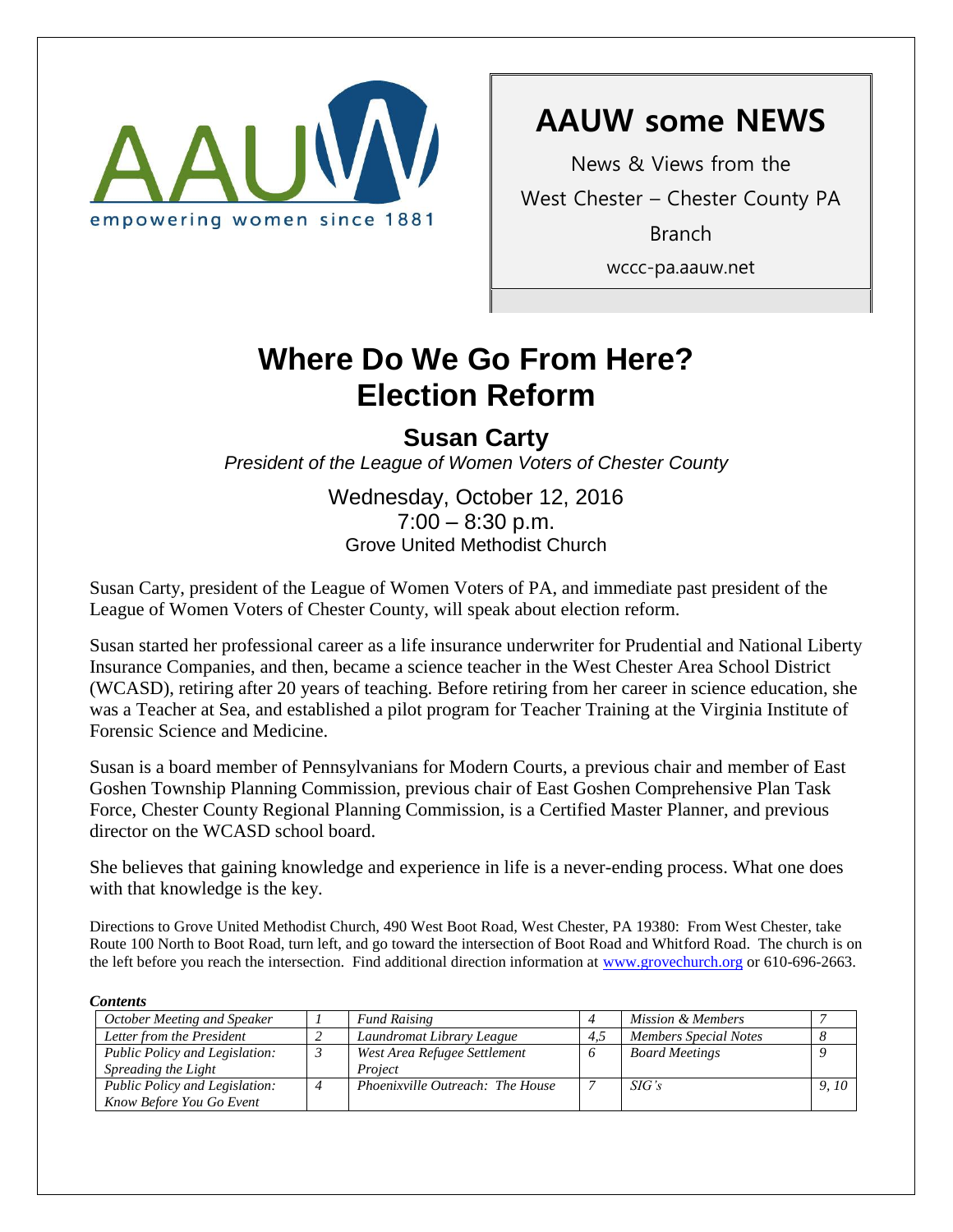

# **AAUW some NEWS**

News & Views from the West Chester – Chester County PA Branch wccc-pa.aauw.net

# Where Do We Go From Here? **Election Reform**

## **Susan Carty**

*President of the League of Women Voters of Chester County*

Wednesday, October 12, 2016  $7:00 - 8:30$  p.m. Grove United Methodist Church

Susan Carty, president of the League of Women Voters of PA, and immediate past president of the League of Women Voters of Chester County, will speak about election reform.

Susan started her professional career as a life insurance underwriter for Prudential and National Liberty Insurance Companies, and then, became a science teacher in the West Chester Area School District (WCASD), retiring after 20 years of teaching. Before retiring from her career in science education, she was a Teacher at Sea, and established a pilot program for Teacher Training at the Virginia Institute of Forensic Science and Medicine.

Susan is a board member of Pennsylvanians for Modern Courts, a previous chair and member of East Goshen Township Planning Commission, previous chair of East Goshen Comprehensive Plan Task Force, Chester County Regional Planning Commission, is a Certified Master Planner, and previous director on the WCASD school board.

She believes that gaining knowledge and experience in life is a never-ending process. What one does with that knowledge is the key.

Directions to Grove United Methodist Church, 490 West Boot Road, West Chester, PA 19380: From West Chester, take Route 100 North to Boot Road, turn left, and go toward the intersection of Boot Road and Whitford Road. The church is on the left before you reach the intersection. Find additional direction information at [www.grovechurch.org](http://www.grovechurch.org/) or 610-696-2663.

#### *Contents*

| October Meeting and Speaker    |  | <b>Fund Raising</b>              |     | Mission & Members     |       |
|--------------------------------|--|----------------------------------|-----|-----------------------|-------|
| Letter from the President      |  | Laundromat Library League        | 4.5 | Members Special Notes |       |
| Public Policy and Legislation: |  | West Area Refugee Settlement     |     | <b>Board Meetings</b> |       |
| Spreading the Light            |  | Project                          |     |                       |       |
| Public Policy and Legislation: |  | Phoenixville Outreach: The House |     | SIG's                 | 9, 10 |
| Know Before You Go Event       |  |                                  |     |                       |       |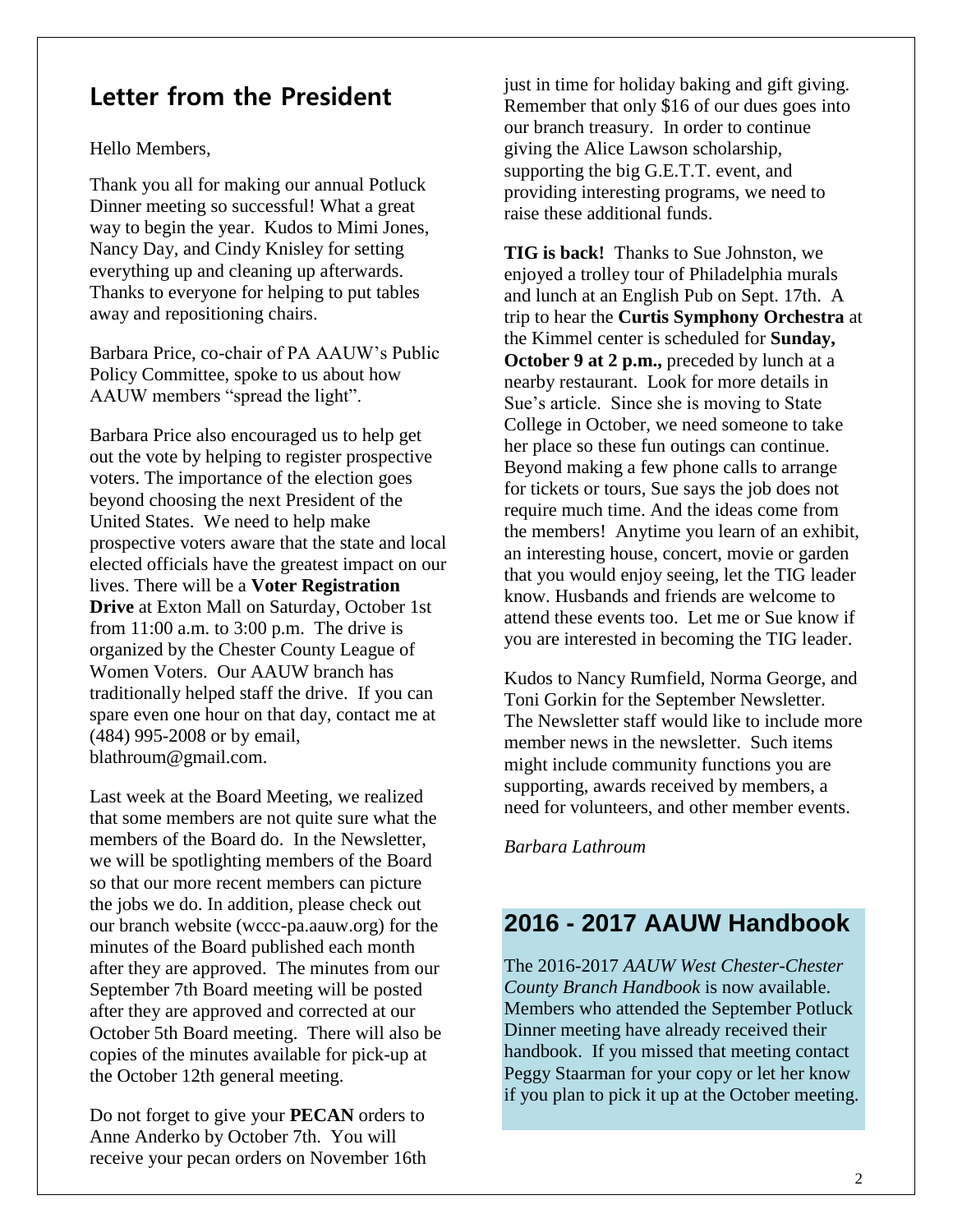## **Letter from the President**

Hello Members,

Thank you all for making our annual Potluck Dinner meeting so successful! What a great way to begin the year. Kudos to Mimi Jones, Nancy Day, and Cindy Knisley for setting everything up and cleaning up afterwards. Thanks to everyone for helping to put tables away and repositioning chairs.

Barbara Price, co-chair of PA AAUW's Public Policy Committee, spoke to us about how AAUW members "spread the light".

Barbara Price also encouraged us to help get out the vote by helping to register prospective voters. The importance of the election goes beyond choosing the next President of the United States. We need to help make prospective voters aware that the state and local elected officials have the greatest impact on our lives. There will be a **Voter Registration Drive** at Exton Mall on Saturday, October 1st from 11:00 a.m. to 3:00 p.m. The drive is organized by the Chester County League of Women Voters. Our AAUW branch has traditionally helped staff the drive. If you can spare even one hour on that day, contact me at (484) 995-2008 or by email, blathroum@gmail.com.

Last week at the Board Meeting, we realized that some members are not quite sure what the members of the Board do. In the Newsletter, we will be spotlighting members of the Board so that our more recent members can picture the jobs we do. In addition, please check out our branch website (wccc-pa.aauw.org) for the minutes of the Board published each month after they are approved. The minutes from our September 7th Board meeting will be posted after they are approved and corrected at our October 5th Board meeting. There will also be copies of the minutes available for pick-up at the October 12th general meeting.

Do not forget to give your **PECAN** orders to Anne Anderko by October 7th. You will receive your pecan orders on November 16th just in time for holiday baking and gift giving. Remember that only \$16 of our dues goes into our branch treasury. In order to continue giving the Alice Lawson scholarship, supporting the big G.E.T.T. event, and providing interesting programs, we need to raise these additional funds.

**TIG is back!** Thanks to Sue Johnston, we enjoyed a trolley tour of Philadelphia murals and lunch at an English Pub on Sept. 17th. A trip to hear the **Curtis Symphony Orchestra** at the Kimmel center is scheduled for **Sunday, October 9 at 2 p.m.,** preceded by lunch at a nearby restaurant. Look for more details in Sue's article. Since she is moving to State College in October, we need someone to take her place so these fun outings can continue. Beyond making a few phone calls to arrange for tickets or tours, Sue says the job does not require much time. And the ideas come from the members! Anytime you learn of an exhibit, an interesting house, concert, movie or garden that you would enjoy seeing, let the TIG leader know. Husbands and friends are welcome to attend these events too. Let me or Sue know if you are interested in becoming the TIG leader.

Kudos to Nancy Rumfield, Norma George, and Toni Gorkin for the September Newsletter. The Newsletter staff would like to include more member news in the newsletter. Such items might include community functions you are supporting, awards received by members, a need for volunteers, and other member events.

*Barbara Lathroum*

## **2016 - 2017 AAUW Handbook**

The 2016-2017 *AAUW West Chester-Chester County Branch Handbook* is now available. Members who attended the September Potluck Dinner meeting have already received their handbook. If you missed that meeting contact Peggy Staarman for your copy or let her know if you plan to pick it up at the October meeting.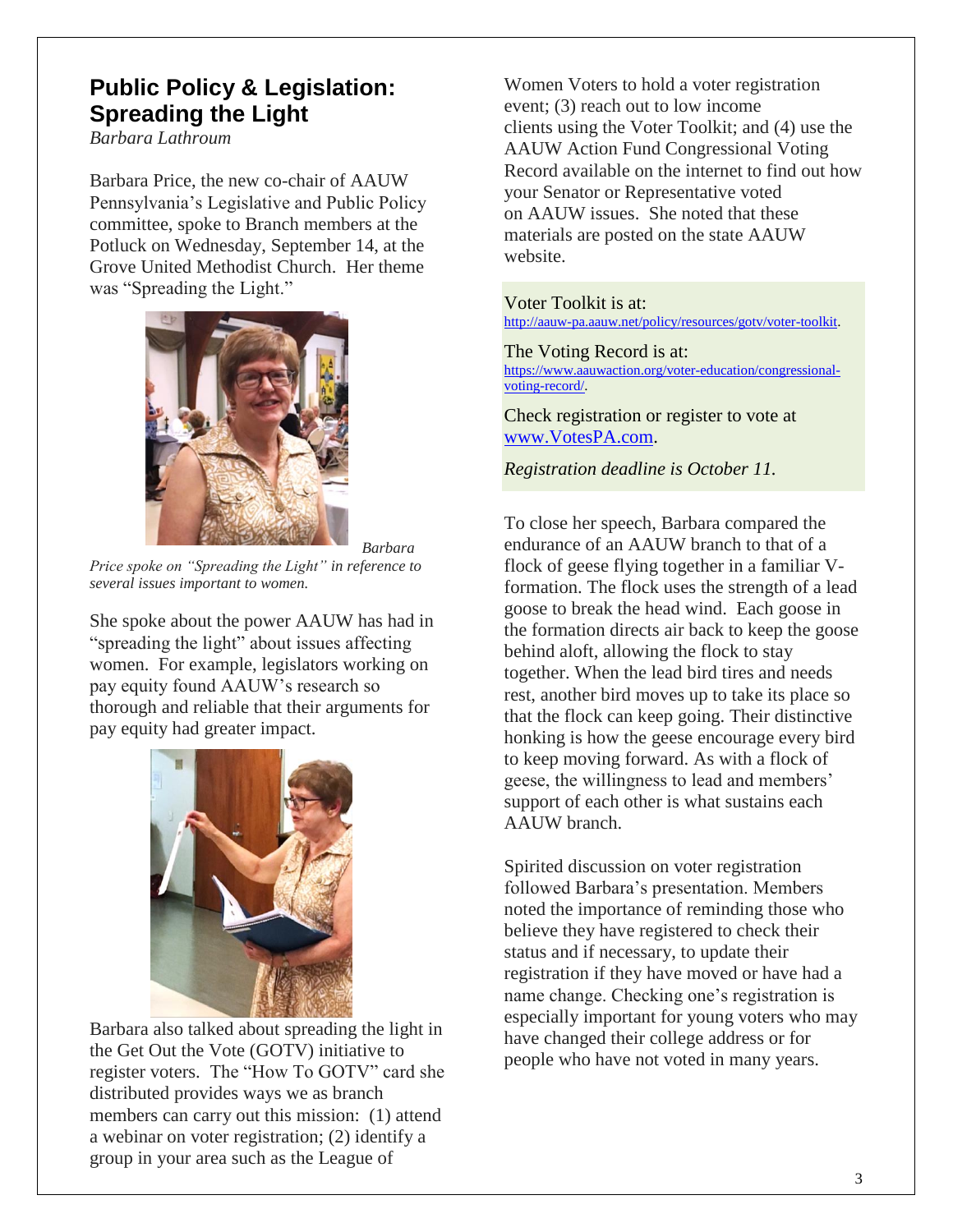## **Public Policy & Legislation: Spreading the Light**

*Barbara Lathroum*

Barbara Price, the new co-chair of AAUW Pennsylvania's Legislative and Public Policy committee, spoke to Branch members at the Potluck on Wednesday, September 14, at the Grove United Methodist Church. Her theme was "Spreading the Light."



*Barbara* 

*Price spoke on "Spreading the Light" in reference to several issues important to women.*

She spoke about the power AAUW has had in "spreading the light" about issues affecting women. For example, legislators working on pay equity found AAUW's research so thorough and reliable that their arguments for pay equity had greater impact.



Barbara also talked about spreading the light in the Get Out the Vote (GOTV) initiative to register voters. The "How To GOTV" card she distributed provides ways we as branch members can carry out this mission: (1) attend a webinar on voter registration; (2) identify a group in your area such as the League of

Women Voters to hold a voter registration event; (3) reach out to low income clients using the Voter Toolkit; and (4) use the AAUW Action Fund Congressional Voting Record available on the internet to find out how your Senator or Representative voted on AAUW issues. She noted that these materials are posted on the state AAUW website.

Voter Toolkit is at: [http://aauw-pa.aauw.net/policy/resources/gotv/voter-toolkit.](http://aauw-pa.aauw.net/policy/resources/gotv/voter-toolkit)

The Voting Record is at: [https://www.aauwaction.org/voter-education/congressional](https://www.aauwaction.org/voter-education/congressional-voting-record/)[voting-record/.](https://www.aauwaction.org/voter-education/congressional-voting-record/)

Check registration or register to vote at [www.VotesPA.com.](http://www.votespa.com/)

*Registration deadline is October 11.*

To close her speech, Barbara compared the endurance of an AAUW branch to that of a flock of geese flying together in a familiar Vformation. The flock uses the strength of a lead goose to break the head wind. Each goose in the formation directs air back to keep the goose behind aloft, allowing the flock to stay together. When the lead bird tires and needs rest, another bird moves up to take its place so that the flock can keep going. Their distinctive honking is how the geese encourage every bird to keep moving forward. As with a flock of geese, the willingness to lead and members' support of each other is what sustains each AAUW branch.

Spirited discussion on voter registration followed Barbara's presentation. Members noted the importance of reminding those who believe they have registered to check their status and if necessary, to update their registration if they have moved or have had a name change. Checking one's registration is especially important for young voters who may have changed their college address or for people who have not voted in many years.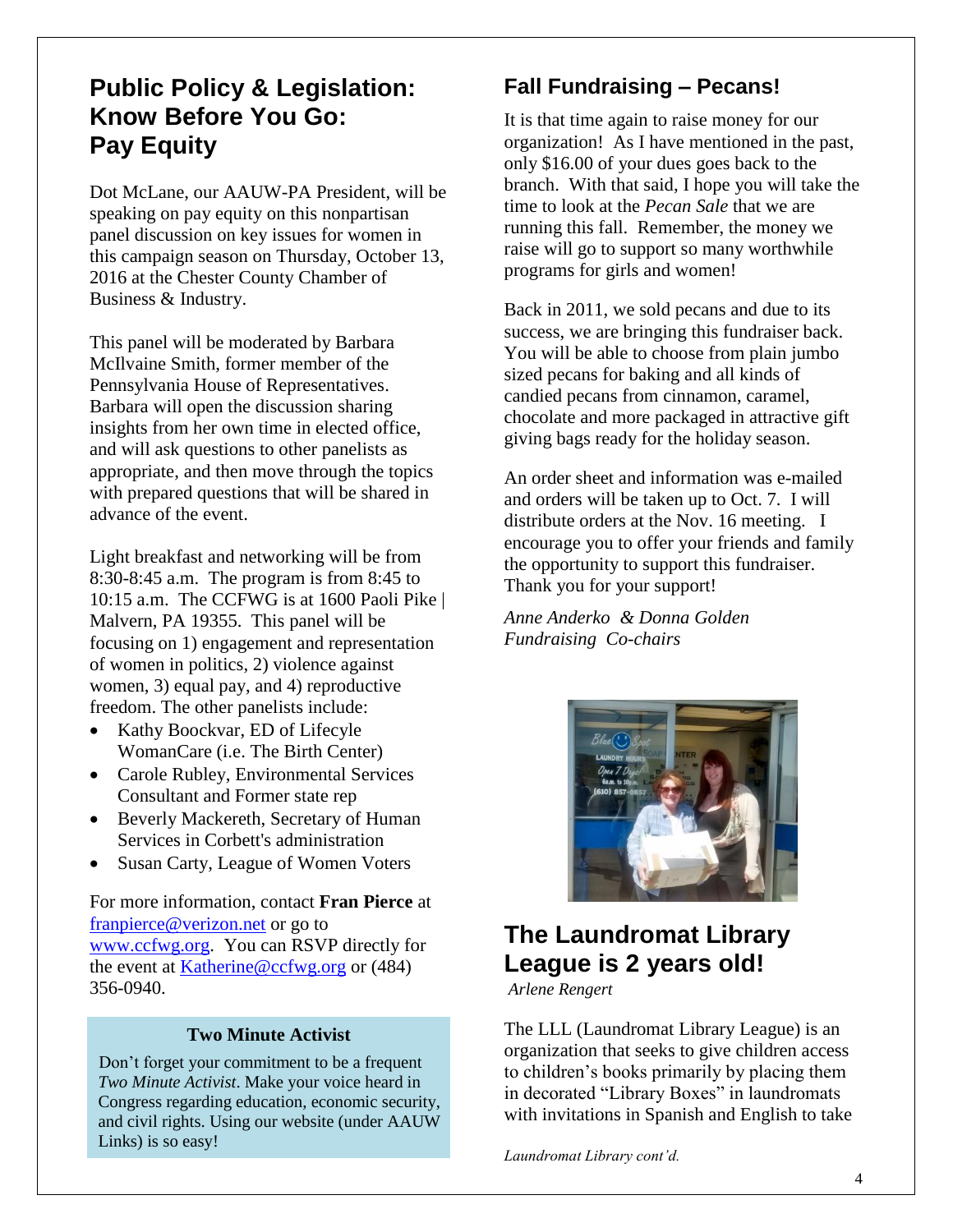## **Public Policy & Legislation: Know Before You Go: Pay Equity**

Dot McLane, our AAUW-PA President, will be speaking on pay equity on this nonpartisan panel discussion on key issues for women in this campaign season on Thursday, October 13, 2016 at the Chester County Chamber of Business & Industry.

This panel will be moderated by Barbara McIlvaine Smith, former member of the Pennsylvania House of Representatives. Barbara will open the discussion sharing insights from her own time in elected office, and will ask questions to other panelists as appropriate, and then move through the topics with prepared questions that will be shared in advance of the event.

Light breakfast and networking will be from 8:30-8:45 a.m. The program is from 8:45 to 10:15 a.m. The CCFWG is at 1600 Paoli Pike | Malvern, PA 19355. This panel will be focusing on 1) engagement and representation of women in politics, 2) violence against women, 3) equal pay, and 4) reproductive freedom. The other panelists include:

- Kathy Boockvar, ED of Lifecyle WomanCare (i.e. The Birth Center)
- Carole Rubley, Environmental Services Consultant and Former state rep
- Beverly Mackereth, Secretary of Human Services in Corbett's administration
- Susan Carty, League of Women Voters

For more information, contact **Fran Pierce** at [franpierce@verizon.net](mailto:franpierce@verizon.net) or go to [www.ccfwg.org.](http://www.ccfwg.org/) You can RSVP directly for the event at [Katherine@ccfwg.org](mailto:Katherine@ccfwg.org) or (484) 356-0940.

#### **Two Minute Activist**

Don't forget your commitment to be a frequent *Two Minute Activist*. Make your voice heard in Congress regarding education, economic security, and civil rights. Using our website (under AAUW Links) is so easy!

## **Fall Fundraising – Pecans!**

It is that time again to raise money for our organization! As I have mentioned in the past, only \$16.00 of your dues goes back to the branch. With that said, I hope you will take the time to look at the *Pecan Sale* that we are running this fall. Remember, the money we raise will go to support so many worthwhile programs for girls and women!

Back in 2011, we sold pecans and due to its success, we are bringing this fundraiser back. You will be able to choose from plain jumbo sized pecans for baking and all kinds of candied pecans from cinnamon, caramel, chocolate and more packaged in attractive gift giving bags ready for the holiday season.

An order sheet and information was e-mailed and orders will be taken up to Oct. 7. I will distribute orders at the Nov. 16 meeting. I encourage you to offer your friends and family the opportunity to support this fundraiser. Thank you for your support!

*Anne Anderko & Donna Golden Fundraising Co-chairs*



## **The Laundromat Library League is 2 years old!**

*Arlene Rengert*

The LLL (Laundromat Library League) is an organization that seeks to give children access to children's books primarily by placing them in decorated "Library Boxes" in laundromats with invitations in Spanish and English to take

*Laundromat Library cont'd.*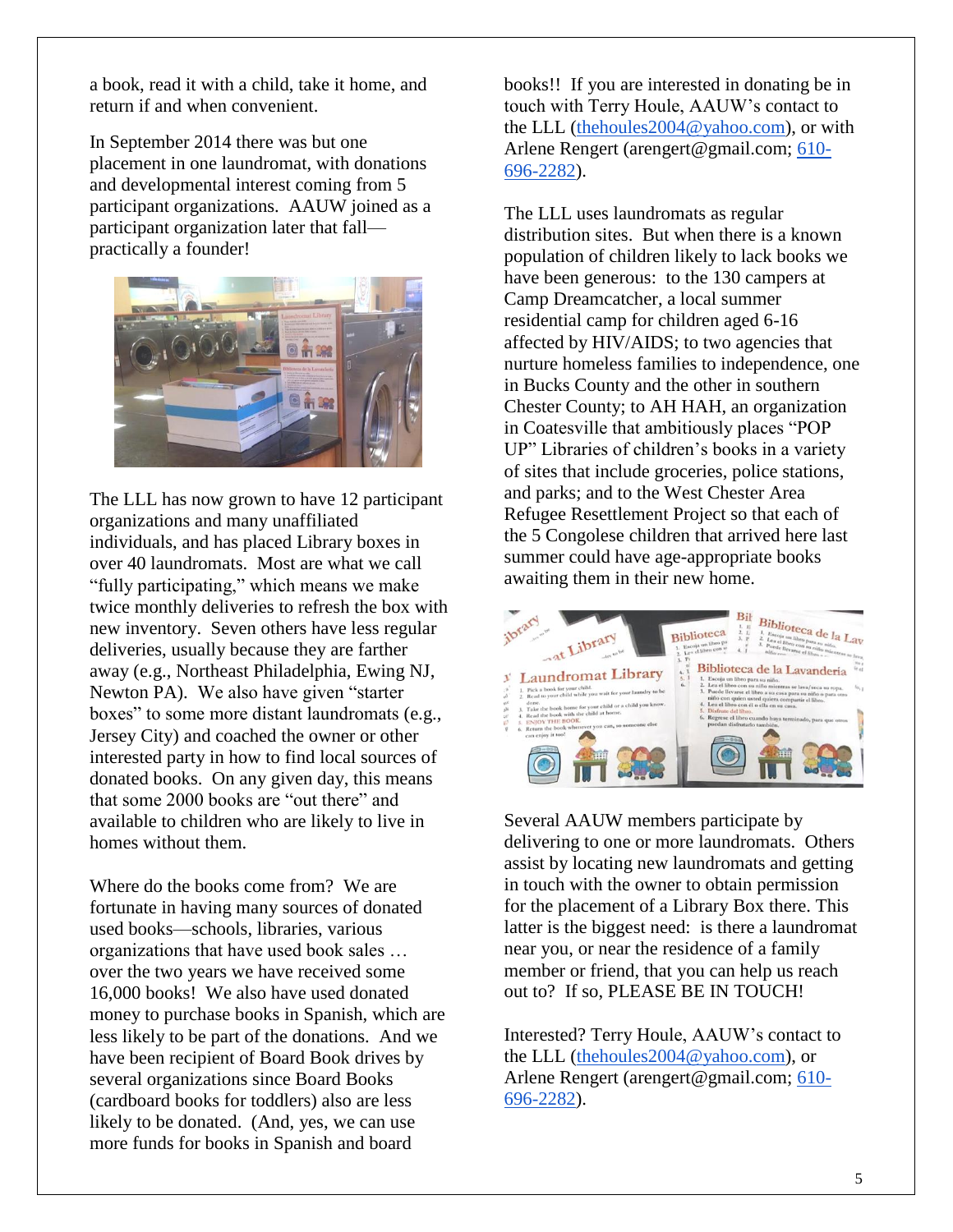a book, read it with a child, take it home, and return if and when convenient.

In September 2014 there was but one placement in one laundromat, with donations and developmental interest coming from 5 participant organizations. AAUW joined as a participant organization later that fall practically a founder!



The LLL has now grown to have 12 participant organizations and many unaffiliated individuals, and has placed Library boxes in over 40 laundromats. Most are what we call "fully participating," which means we make twice monthly deliveries to refresh the box with new inventory. Seven others have less regular deliveries, usually because they are farther away (e.g., Northeast Philadelphia, Ewing NJ, Newton PA). We also have given "starter boxes" to some more distant laundromats (e.g., Jersey City) and coached the owner or other interested party in how to find local sources of donated books. On any given day, this means that some 2000 books are "out there" and available to children who are likely to live in homes without them.

Where do the books come from? We are fortunate in having many sources of donated used books—schools, libraries, various organizations that have used book sales … over the two years we have received some 16,000 books! We also have used donated money to purchase books in Spanish, which are less likely to be part of the donations. And we have been recipient of Board Book drives by several organizations since Board Books (cardboard books for toddlers) also are less likely to be donated. (And, yes, we can use more funds for books in Spanish and board

books!! If you are interested in donating be in touch with Terry Houle, AAUW's contact to the LLL [\(thehoules2004@yahoo.com\)](mailto:thehoules2004@yahoo.com), or with Arlene Rengert (arengert@gmail.com; [610-](tel:610-696-2282) [696-2282\)](tel:610-696-2282).

The LLL uses laundromats as regular distribution sites. But when there is a known population of children likely to lack books we have been generous: to the 130 campers at Camp Dreamcatcher, a local summer residential camp for children aged 6-16 affected by HIV/AIDS; to two agencies that nurture homeless families to independence, one in Bucks County and the other in southern Chester County; to AH HAH, an organization in Coatesville that ambitiously places "POP UP" Libraries of children's books in a variety of sites that include groceries, police stations, and parks; and to the West Chester Area Refugee Resettlement Project so that each of the 5 Congolese children that arrived here last summer could have age-appropriate books awaiting them in their new home.



Several AAUW members participate by delivering to one or more laundromats. Others assist by locating new laundromats and getting in touch with the owner to obtain permission for the placement of a Library Box there. This latter is the biggest need: is there a laundromat near you, or near the residence of a family member or friend, that you can help us reach out to? If so, PLEASE BE IN TOUCH!

Interested? Terry Houle, AAUW's contact to the LLL [\(thehoules2004@yahoo.com\)](mailto:thehoules2004@yahoo.com), or Arlene Rengert (arengert@gmail.com; [610-](tel:610-696-2282) [696-2282\)](tel:610-696-2282).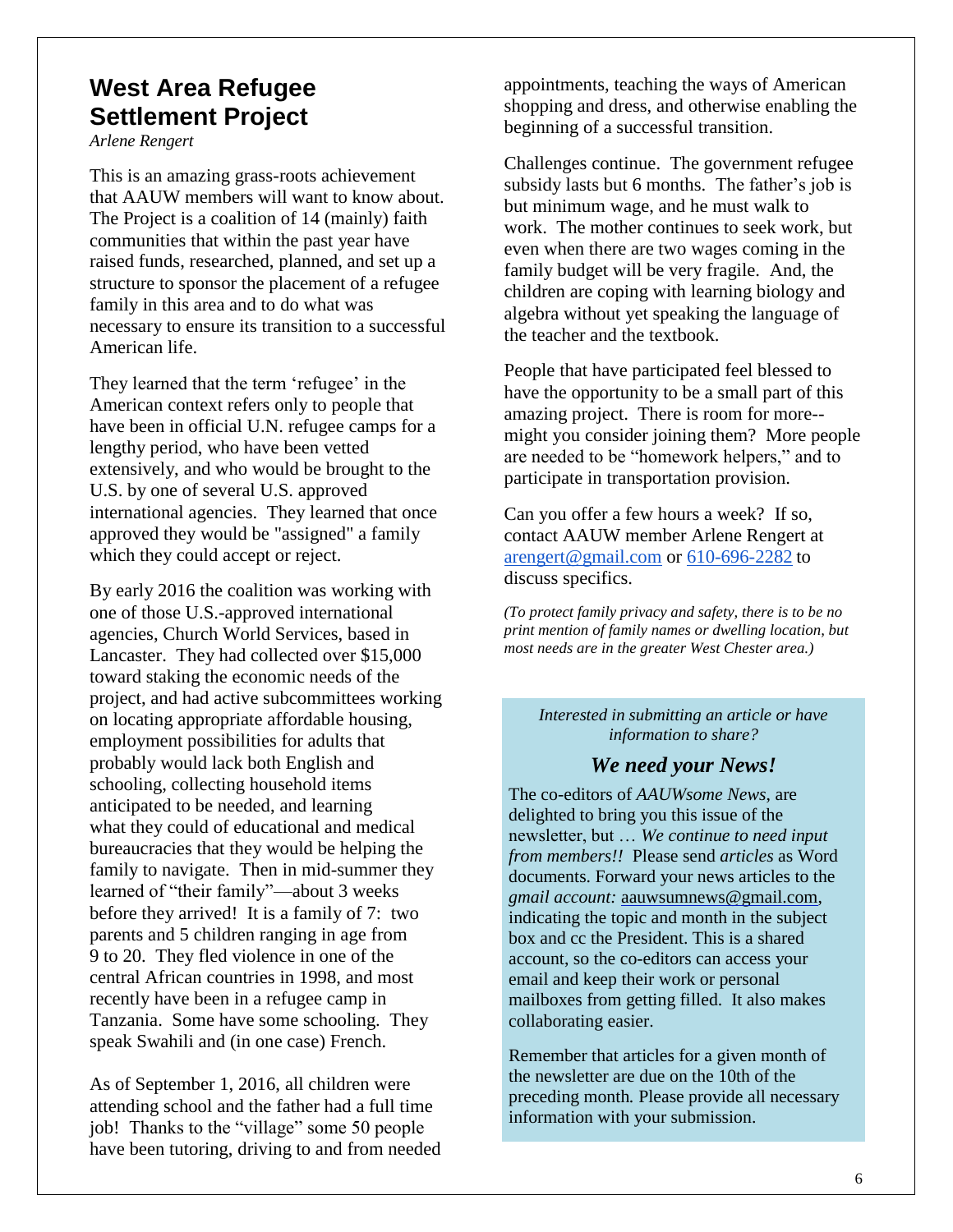## **West Area Refugee Settlement Project**

*Arlene Rengert*

This is an amazing grass-roots achievement that AAUW members will want to know about. The Project is a coalition of 14 (mainly) faith communities that within the past year have raised funds, researched, planned, and set up a structure to sponsor the placement of a refugee family in this area and to do what was necessary to ensure its transition to a successful American life.

They learned that the term 'refugee' in the American context refers only to people that have been in official U.N. refugee camps for a lengthy period, who have been vetted extensively, and who would be brought to the U.S. by one of several U.S. approved international agencies. They learned that once approved they would be "assigned" a family which they could accept or reject.

By early 2016 the coalition was working with one of those U.S.-approved international agencies, Church World Services, based in Lancaster. They had collected over \$15,000 toward staking the economic needs of the project, and had active subcommittees working on locating appropriate affordable housing, employment possibilities for adults that probably would lack both English and schooling, collecting household items anticipated to be needed, and learning what they could of educational and medical bureaucracies that they would be helping the family to navigate. Then in mid-summer they learned of "their family"—about 3 weeks before they arrived! It is a family of 7: two parents and 5 children ranging in age from 9 to 20. They fled violence in one of the central African countries in 1998, and most recently have been in a refugee camp in Tanzania. Some have some schooling. They speak Swahili and (in one case) French.

As of September 1, 2016, all children were attending school and the father had a full time job! Thanks to the "village" some 50 people have been tutoring, driving to and from needed appointments, teaching the ways of American shopping and dress, and otherwise enabling the beginning of a successful transition.

Challenges continue. The government refugee subsidy lasts but 6 months. The father's job is but minimum wage, and he must walk to work. The mother continues to seek work, but even when there are two wages coming in the family budget will be very fragile. And, the children are coping with learning biology and algebra without yet speaking the language of the teacher and the textbook.

People that have participated feel blessed to have the opportunity to be a small part of this amazing project. There is room for more- might you consider joining them? More people are needed to be "homework helpers," and to participate in transportation provision.

Can you offer a few hours a week? If so, contact AAUW member Arlene Rengert at [arengert@gmail.com](mailto:arengert@gmail.com) or [610-696-2282](tel:610-696-2282) to discuss specifics.

*(To protect family privacy and safety, there is to be no print mention of family names or dwelling location, but most needs are in the greater West Chester area.)*

*Interested in submitting an article or have information to share?*

#### *We need your News!*

The co-editors of *AAUWsome News*, are delighted to bring you this issue of the newsletter, but … *We continue to need input from members!!* Please send *articles* as Word documents. Forward your news articles to the *gmail account:* [aauwsumnews@gmail.com,](mailto:aauwsum@gmail.com) indicating the topic and month in the subject box and cc the President. This is a shared account, so the co-editors can access your email and keep their work or personal mailboxes from getting filled. It also makes collaborating easier.

Remember that articles for a given month of the newsletter are due on the 10th of the preceding month*.* Please provide all necessary information with your submission.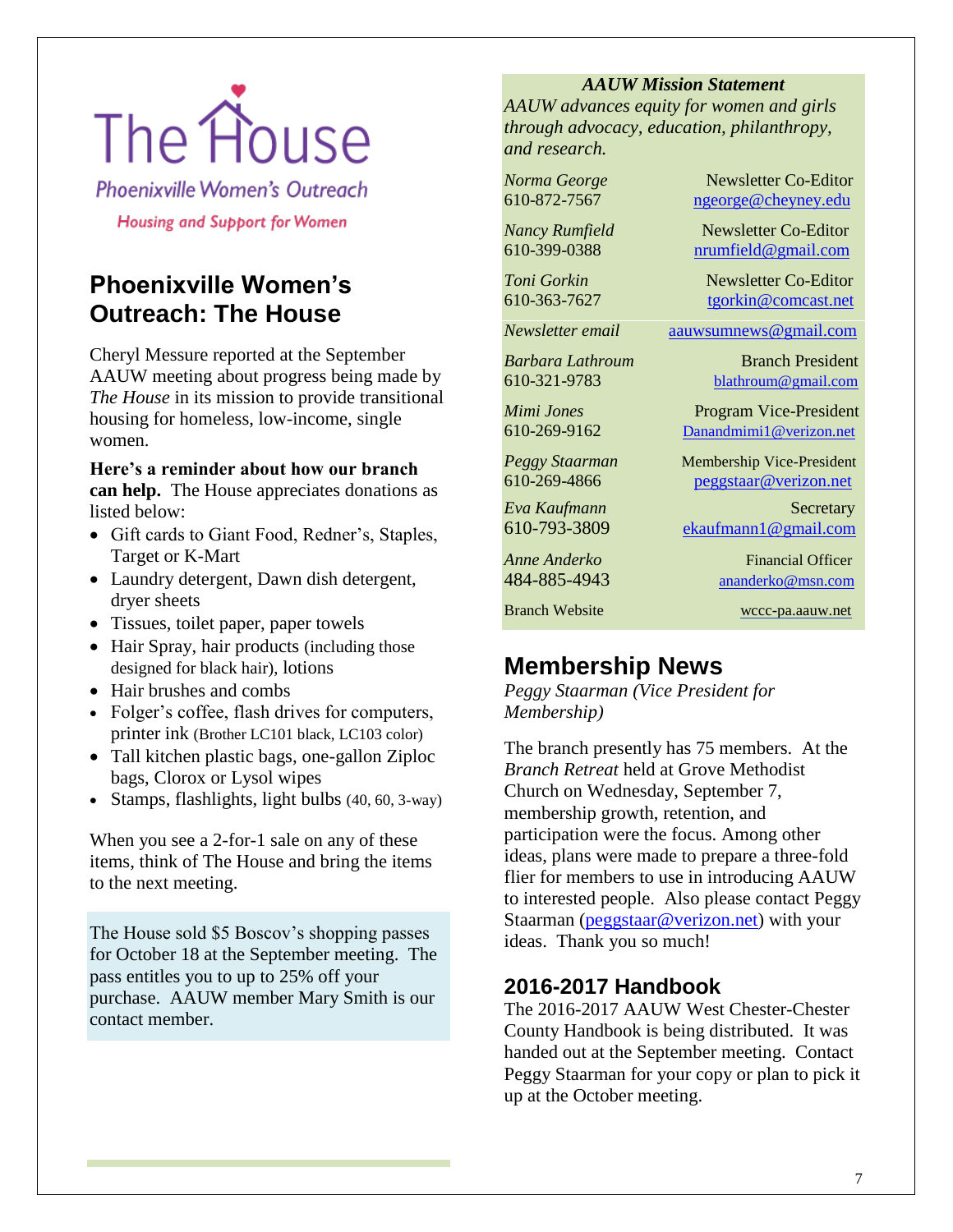# The House

**Phoenixville Women's Outreach** 

**Housing and Support for Women** 

## **Phoenixville Women's Outreach: The House**

Cheryl Messure reported at the September AAUW meeting about progress being made by *The House* in its mission to provide transitional housing for homeless, low-income, single women.

**Here's a reminder about how our branch can help.** The House appreciates donations as listed below:

- Gift cards to Giant Food, Redner's, Staples, Target or K-Mart
- Laundry detergent, Dawn dish detergent, dryer sheets
- Tissues, toilet paper, paper towels
- Hair Spray, hair products (including those designed for black hair), lotions
- Hair brushes and combs
- Folger's coffee, flash drives for computers, printer ink (Brother LC101 black, LC103 color)
- Tall kitchen plastic bags, one-gallon Ziploc bags, Clorox or Lysol wipes
- Stamps, flashlights, light bulbs (40, 60, 3-way)

When you see a 2-for-1 sale on any of these items, think of The House and bring the items to the next meeting.

The House sold \$5 Boscov's shopping passes for October 18 at the September meeting. The pass entitles you to up to 25% off your purchase. AAUW member Mary Smith is our contact member.

#### *AAUW Mission Statement*

*AAUW advances equity for women and girls through advocacy, education, philanthropy, and research.*

*Norma George* Newsletter Co-Editor 610-872-7567 [ngeorge@cheyney.edu](mailto:ngeorge@cheyney.ecu)

*Nancy Rumfield* Newsletter Co-Editor<br>610-399-0388 **numfield@gmail.com** 610-399-0388 [nrumfield@gmail.com](mailto:nrumfield@gmail.com)

*Toni Gorkin*<br>
610-363-7627 **Mars** *Leonkin@comcast.net* [tgorkin@comcast.net](mailto:tgorkin@comcast.net)

*Newsletter email* [aauwsumnews@gmail.com](mailto:aauwsumnews@gmail.com)

*Barbara Lathroum* Branch President [610-321-9783](mailto:610-321-9783) [blathroum@gmail.com](mailto:blathroum@gmail.com)

*Mimi Jones* Program Vice-President 610-269-9162 Danandmimi1@verizon.net

*Peggy Staarman* Membership Vice-President 610-269-4866 [peggstaar@verizon.net](mailto:4dores@comcast.net)

*Eva Kaufmann* Secretary [610-793-3809](mailto:610-793-3809) [ekaufmann1@gmail.com](mailto:ekaufmann1@gmail.com)

*Anne Anderko* Financial Officer [484-885-4943](mailto:484-885-4943) [ananderko@msn.com](mailto:ananderko@msn.com)

Branch Website [wccc-pa.aauw.net](http://wccc-pa.aauw.net/)

## **Membership News**

*Peggy Staarman (Vice President for Membership)*

The branch presently has 75 members. At the *Branch Retreat* held at Grove Methodist Church on Wednesday, September 7, membership growth, retention, and participation were the focus. Among other ideas, plans were made to prepare a three-fold flier for members to use in introducing AAUW to interested people. Also please contact Peggy Staarman [\(peggstaar@verizon.net\)](mailto:peggstaar@verizon.net) with your ideas. Thank you so much!

## **2016-2017 Handbook**

The 2016-2017 AAUW West Chester-Chester County Handbook is being distributed. It was handed out at the September meeting. Contact Peggy Staarman for your copy or plan to pick it up at the October meeting.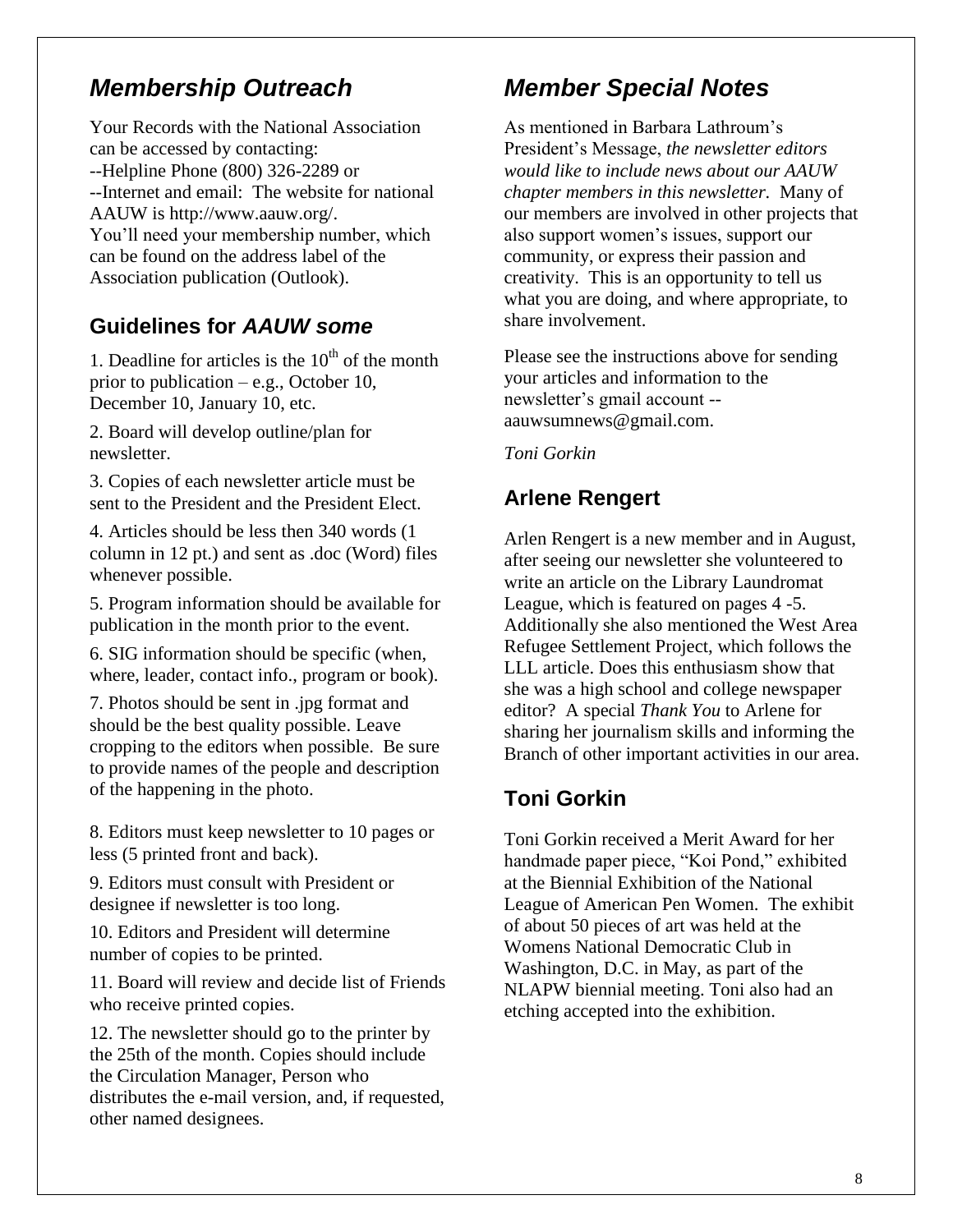## *Membership Outreach*

Your Records with the National Association can be accessed by contacting: --Helpline Phone (800) 326-2289 or --Internet and email: The website for national AAUW is http://www.aauw.org/. You'll need your membership number, which can be found on the address label of the Association publication (Outlook).

## **Guidelines for** *AAUW some*

1. Deadline for articles is the  $10<sup>th</sup>$  of the month prior to publication – e.g., October 10, December 10, January 10, etc.

2. Board will develop outline/plan for newsletter.

3. Copies of each newsletter article must be sent to the President and the President Elect.

4. Articles should be less then 340 words (1 column in 12 pt.) and sent as .doc (Word) files whenever possible.

5. Program information should be available for publication in the month prior to the event.

6. SIG information should be specific (when, where, leader, contact info., program or book).

7. Photos should be sent in .jpg format and should be the best quality possible. Leave cropping to the editors when possible. Be sure to provide names of the people and description of the happening in the photo.

8. Editors must keep newsletter to 10 pages or less (5 printed front and back).

9. Editors must consult with President or designee if newsletter is too long.

10. Editors and President will determine number of copies to be printed.

11. Board will review and decide list of Friends who receive printed copies.

12. The newsletter should go to the printer by the 25th of the month. Copies should include the Circulation Manager, Person who distributes the e-mail version, and, if requested, other named designees.

## *Member Special Notes*

As mentioned in Barbara Lathroum's President's Message, *the newsletter editors would like to include news about our AAUW chapter members in this newsletter.* Many of our members are involved in other projects that also support women's issues, support our community, or express their passion and creativity. This is an opportunity to tell us what you are doing, and where appropriate, to share involvement.

Please see the instructions above for sending your articles and information to the newsletter's gmail account - aauwsumnews@gmail.com.

*Toni Gorkin*

## **Arlene Rengert**

Arlen Rengert is a new member and in August, after seeing our newsletter she volunteered to write an article on the Library Laundromat League, which is featured on pages 4 -5. Additionally she also mentioned the West Area Refugee Settlement Project, which follows the LLL article. Does this enthusiasm show that she was a high school and college newspaper editor? A special *Thank You* to Arlene for sharing her journalism skills and informing the Branch of other important activities in our area.

### **Toni Gorkin**

Toni Gorkin received a Merit Award for her handmade paper piece, "Koi Pond," exhibited at the Biennial Exhibition of the National League of American Pen Women. The exhibit of about 50 pieces of art was held at the Womens National Democratic Club in Washington, D.C. in May, as part of the NLAPW biennial meeting. Toni also had an etching accepted into the exhibition.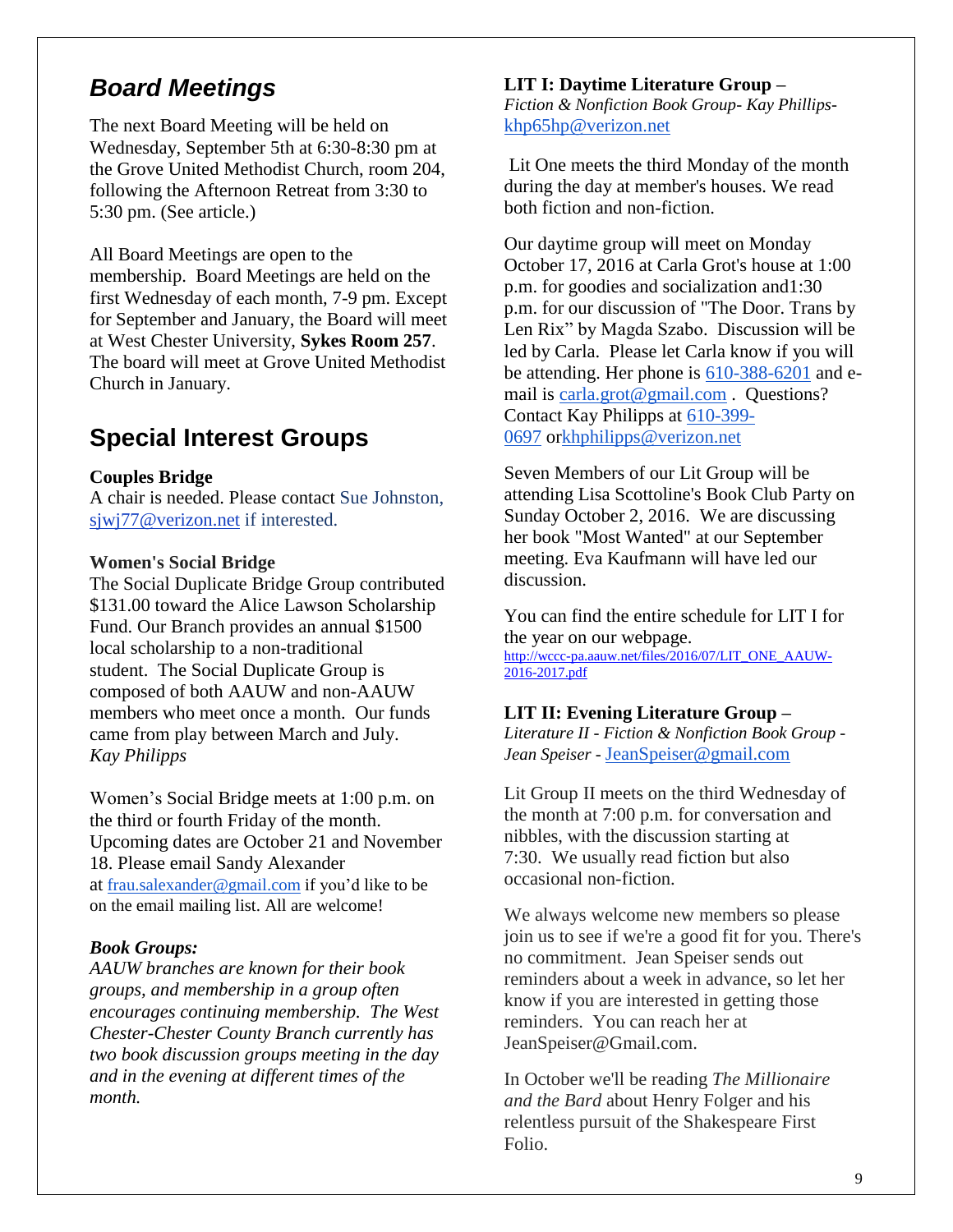## *Board Meetings*

The next Board Meeting will be held on Wednesday, September 5th at 6:30-8:30 pm at the Grove United Methodist Church, room 204, following the Afternoon Retreat from 3:30 to 5:30 pm. (See article.)

All Board Meetings are open to the membership. Board Meetings are held on the first Wednesday of each month, 7-9 pm. Except for September and January, the Board will meet at West Chester University, **Sykes Room 257**. The board will meet at Grove United Methodist Church in January.

## **Special Interest Groups**

#### **Couples Bridge**

A chair is needed. Please contact Sue Johnston, [sjwj77@verizon.net](mailto:sjwj77@verizon.net) if interested.

#### **Women's Social Bridge**

The Social Duplicate Bridge Group contributed \$131.00 toward the Alice Lawson Scholarship Fund. Our Branch provides an annual \$1500 local scholarship to a non-traditional student. The Social Duplicate Group is composed of both AAUW and non-AAUW members who meet once a month. Our funds came from play between March and July. *Kay Philipps*

Women's Social Bridge meets at 1:00 p.m. on the third or fourth Friday of the month. Upcoming dates are October 21 and November 18. Please email Sandy Alexander at [frau.salexander@gmail.com](mailto:frau.salexander@gmail.com) if you'd like to be on the email mailing list. All are welcome!

#### *Book Groups:*

*AAUW branches are known for their book groups, and membership in a group often encourages continuing membership. The West Chester-Chester County Branch currently has two book discussion groups meeting in the day and in the evening at different times of the month.* 

#### **LIT I: Daytime Literature Group –**

*Fiction & Nonfiction Book Group- Kay Phillips*[khp65hp@verizon.net](mailto:khp65hp@verizon.net)

Lit One meets the third Monday of the month during the day at member's houses. We read both fiction and non-fiction.

Our daytime group will meet on Monday October 17, 2016 at Carla Grot's house at 1:00 p.m. for goodies and socialization and1:30 p.m. for our discussion of "The Door. Trans by Len Rix" by Magda Szabo. Discussion will be led by Carla. Please let Carla know if you will be attending. Her phone is [610-388-6201](tel:610-388-6201) and email is [carla.grot@gmail.com](mailto:carla.grot@gmail.com) . Questions? Contact Kay Philipps at [610-399-](tel:610-399-0697) [0697](tel:610-399-0697) o[rkhphilipps@verizon.net](mailto:khphilipps@verizon.net)

Seven Members of our Lit Group will be attending Lisa Scottoline's Book Club Party on Sunday October 2, 2016. We are discussing her book "Most Wanted" at our September meeting. Eva Kaufmann will have led our discussion.

You can find the entire schedule for LIT I for the year on our webpage. [http://wccc-pa.aauw.net/files/2016/07/LIT\\_ONE\\_AAUW-](http://wccc-pa.aauw.net/files/2016/07/LIT_ONE_AAUW-2016-2017.pdf)[2016-2017.pdf](http://wccc-pa.aauw.net/files/2016/07/LIT_ONE_AAUW-2016-2017.pdf)

#### **LIT II: Evening Literature Group –**

*Literature II - Fiction & Nonfiction Book Group - Jean Speiser -* [JeanSpeiser@gmail.com](mailto:JeanSpeiser@gmail.com)

Lit Group II meets on the third Wednesday of the month at 7:00 p.m. for conversation and nibbles, with the discussion starting at 7:30. We usually read fiction but also occasional non-fiction.

We always welcome new members so please join us to see if we're a good fit for you. There's no commitment. Jean Speiser sends out reminders about a week in advance, so let her know if you are interested in getting those reminders. You can reach her at JeanSpeiser@Gmail.com.

In October we'll be reading *The Millionaire and the Bard* about Henry Folger and his relentless pursuit of the Shakespeare First Folio.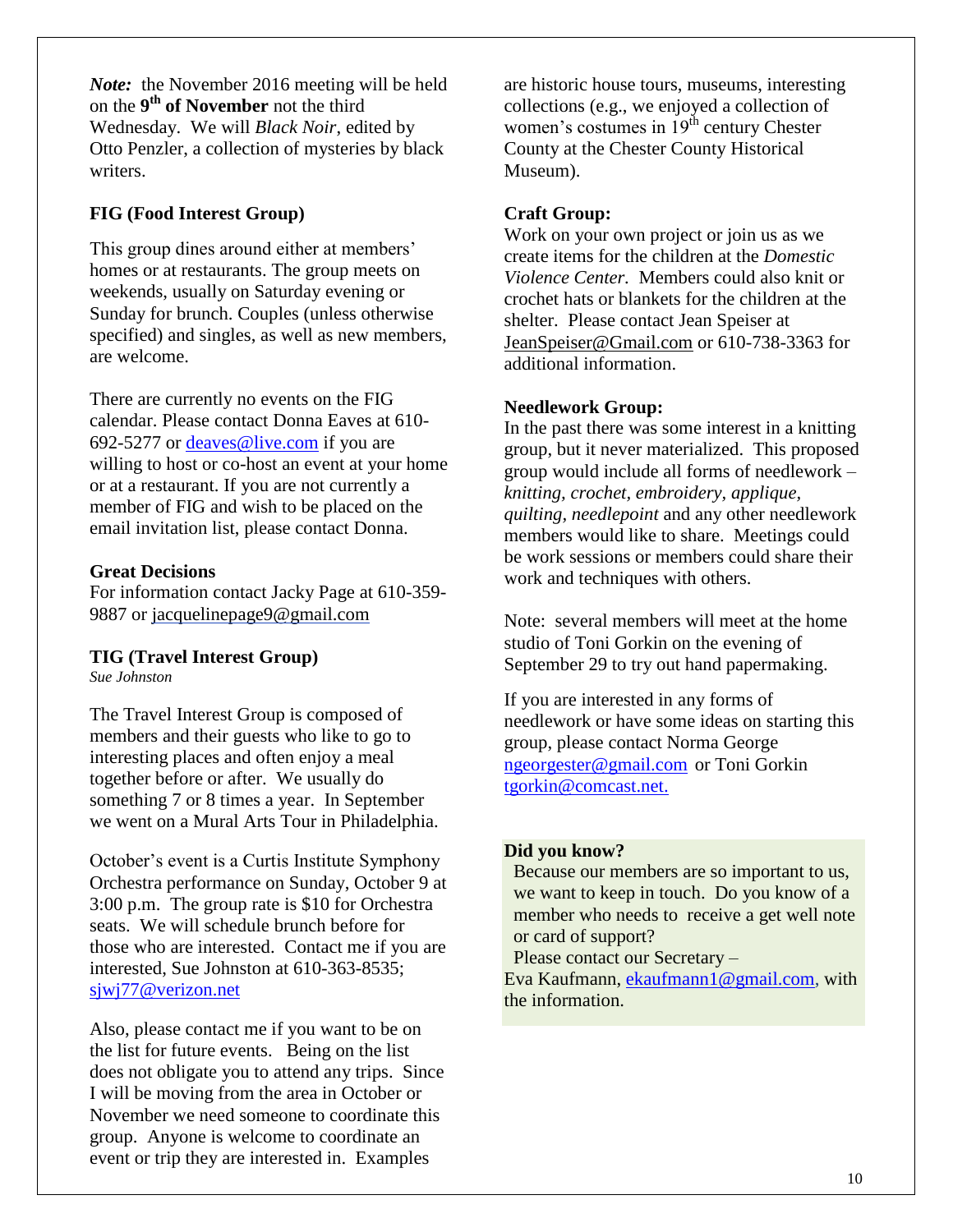*Note:* the November 2016 meeting will be held on the **9 th of November** not the third Wednesday. We will *Black Noir*, edited by Otto Penzler, a collection of mysteries by black writers.

#### **FIG (Food Interest Group)**

This group dines around either at members' homes or at restaurants. The group meets on weekends, usually on Saturday evening or Sunday for brunch. Couples (unless otherwise specified) and singles, as well as new members, are welcome.

There are currently no events on the FIG calendar. Please contact Donna Eaves at 610- 692-5277 or [deaves@live.com](mailto:deaves@live.com) if you are willing to host or co-host an event at your home or at a restaurant. If you are not currently a member of FIG and wish to be placed on the email invitation list, please contact Donna.

#### **Great Decisions**

For information contact Jacky Page at 610-359- 9887 or [jacquelinepage9@gmail.com](mailto:jacquelinepage9@gmail.com)

#### **TIG (Travel Interest Group)**

*Sue Johnston*

The Travel Interest Group is composed of members and their guests who like to go to interesting places and often enjoy a meal together before or after. We usually do something 7 or 8 times a year. In September we went on a Mural Arts Tour in Philadelphia.

October's event is a Curtis Institute Symphony Orchestra performance on Sunday, October 9 at 3:00 p.m. The group rate is \$10 for Orchestra seats. We will schedule brunch before for those who are interested. Contact me if you are interested, Sue Johnston at 610-363-8535; [sjwj77@verizon.net](mailto:sjwj77@verizon.net)

Also, please contact me if you want to be on the list for future events. Being on the list does not obligate you to attend any trips. Since I will be moving from the area in October or November we need someone to coordinate this group. Anyone is welcome to coordinate an event or trip they are interested in. Examples

are historic house tours, museums, interesting collections (e.g., we enjoyed a collection of women's costumes in  $19<sup>th</sup>$  century Chester County at the Chester County Historical Museum).

#### **Craft Group:**

Work on your own project or join us as we create items for the children at the *Domestic Violence Center.* Members could also knit or crochet hats or blankets for the children at the shelter. Please contact Jean Speiser at [JeanSpeiser@Gmail.com](mailto:JeanSpeiser@Gmail.com) or 610-738-3363 for additional information.

#### **Needlework Group:**

In the past there was some interest in a knitting group, but it never materialized. This proposed group would include all forms of needlework – *knitting, crochet, embroidery, applique, quilting, needlepoint* and any other needlework members would like to share. Meetings could be work sessions or members could share their work and techniques with others.

Note: several members will meet at the home studio of Toni Gorkin on the evening of September 29 to try out hand papermaking.

If you are interested in any forms of needlework or have some ideas on starting this group, please contact Norma George [ngeorgester@gmail.com](mailto:ngeorgester@gmail.com) or Toni Gorkin [tgorkin@comcast.net.](mailto:tgorkin@comcast.net)

#### **Did you know?**

 Because our members are so important to us, we want to keep in touch. Do you know of a member who needs to receive a get well note or card of support?

Please contact our Secretary –

Eva Kaufmann, [ekaufmann1@gmail.com,](mailto:ekaufmann1@gmail.com) with the information.